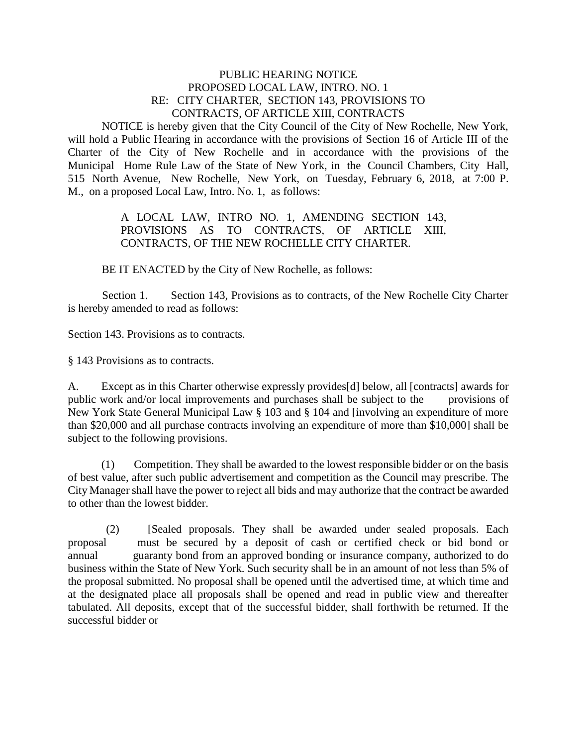## PUBLIC HEARING NOTICE PROPOSED LOCAL LAW, INTRO. NO. 1 RE: CITY CHARTER, SECTION 143, PROVISIONS TO CONTRACTS, OF ARTICLE XIII, CONTRACTS

NOTICE is hereby given that the City Council of the City of New Rochelle, New York, will hold a Public Hearing in accordance with the provisions of Section 16 of Article III of the Charter of the City of New Rochelle and in accordance with the provisions of the Municipal Home Rule Law of the State of New York, in the Council Chambers, City Hall, 515 North Avenue, New Rochelle, New York, on Tuesday, February 6, 2018, at 7:00 P. M., on a proposed Local Law, Intro. No. 1, as follows:

> A LOCAL LAW, INTRO NO. 1, AMENDING SECTION 143, PROVISIONS AS TO CONTRACTS, OF ARTICLE XIII, CONTRACTS, OF THE NEW ROCHELLE CITY CHARTER.

BE IT ENACTED by the City of New Rochelle, as follows:

Section 1. Section 143, Provisions as to contracts, of the New Rochelle City Charter is hereby amended to read as follows:

Section 143. Provisions as to contracts.

§ 143 Provisions as to contracts.

A. Except as in this Charter otherwise expressly provides[d] below, all [contracts] awards for public work and/or local improvements and purchases shall be subject to the provisions of New York State General Municipal Law § 103 and § 104 and [involving an expenditure of more than \$20,000 and all purchase contracts involving an expenditure of more than \$10,000] shall be subject to the following provisions.

 (1) Competition. They shall be awarded to the lowest responsible bidder or on the basis of best value, after such public advertisement and competition as the Council may prescribe. The City Manager shall have the power to reject all bids and may authorize that the contract be awarded to other than the lowest bidder.

 (2) [Sealed proposals. They shall be awarded under sealed proposals. Each proposal must be secured by a deposit of cash or certified check or bid bond or annual guaranty bond from an approved bonding or insurance company, authorized to do business within the State of New York. Such security shall be in an amount of not less than 5% of the proposal submitted. No proposal shall be opened until the advertised time, at which time and at the designated place all proposals shall be opened and read in public view and thereafter tabulated. All deposits, except that of the successful bidder, shall forthwith be returned. If the successful bidder or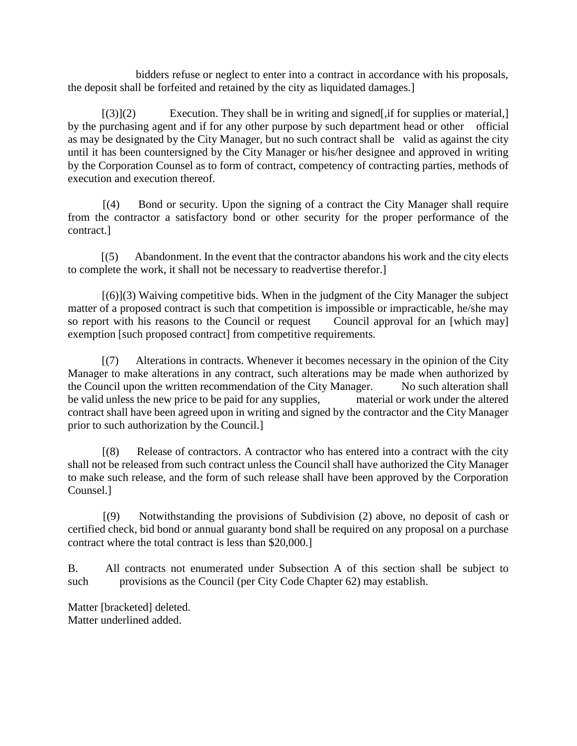bidders refuse or neglect to enter into a contract in accordance with his proposals, the deposit shall be forfeited and retained by the city as liquidated damages.]

 $[(3)](2)$  Execution. They shall be in writing and signed, if for supplies or material, by the purchasing agent and if for any other purpose by such department head or other official as may be designated by the City Manager, but no such contract shall be valid as against the city until it has been countersigned by the City Manager or his/her designee and approved in writing by the Corporation Counsel as to form of contract, competency of contracting parties, methods of execution and execution thereof.

 [(4) Bond or security. Upon the signing of a contract the City Manager shall require from the contractor a satisfactory bond or other security for the proper performance of the contract.]

 [(5) Abandonment. In the event that the contractor abandons his work and the city elects to complete the work, it shall not be necessary to readvertise therefor.]

 [(6)](3) Waiving competitive bids. When in the judgment of the City Manager the subject matter of a proposed contract is such that competition is impossible or impracticable, he/she may so report with his reasons to the Council or request Council approval for an [which may] exemption [such proposed contract] from competitive requirements.

 [(7) Alterations in contracts. Whenever it becomes necessary in the opinion of the City Manager to make alterations in any contract, such alterations may be made when authorized by the Council upon the written recommendation of the City Manager. No such alteration shall be valid unless the new price to be paid for any supplies, material or work under the altered contract shall have been agreed upon in writing and signed by the contractor and the City Manager prior to such authorization by the Council.]

 [(8) Release of contractors. A contractor who has entered into a contract with the city shall not be released from such contract unless the Council shall have authorized the City Manager to make such release, and the form of such release shall have been approved by the Corporation Counsel.]

 [(9) Notwithstanding the provisions of Subdivision (2) above, no deposit of cash or certified check, bid bond or annual guaranty bond shall be required on any proposal on a purchase contract where the total contract is less than \$20,000.]

B. All contracts not enumerated under Subsection A of this section shall be subject to such provisions as the Council (per City Code Chapter 62) may establish.

Matter [bracketed] deleted. Matter underlined added.